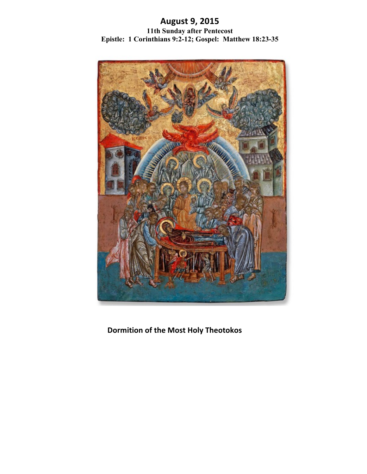# **August!9,!2015 11th Sunday after Pentecost Epistle: 1 Corinthians 9:2-12; Gospel: Matthew 18:23-35**



**Dormition of the Most Holy Theotokos**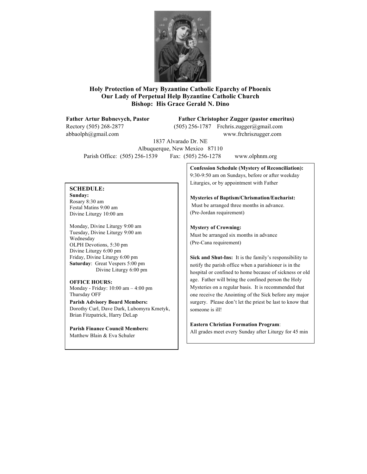

## **Holy Protection of Mary Byzantine Catholic Eparchy of Phoenix Our Lady of Perpetual Help Byzantine Catholic Church Bishop: His Grace Gerald N. Dino**

## **Father Artur Bubnevych, Pastor Father Christopher Zugger (pastor emeritus)**

Rectory (505) 268-2877 (505) 256-1787 Frchris.zugger@gmail.com abbaolph@gmail.com www.frchriszugger.com

1837 Alvarado Dr. NE Albuquerque, New Mexico 87110 Parish Office: (505) 256-1539 Fax: (505) 256-1278 www.olphnm.org

## **SCHEDULE:**

**Sunday:** Rosary 8:30 am Festal Matins 9:00 am Divine Liturgy 10:00 am

Monday, Divine Liturgy 9:00 am Tuesday, Divine Liturgy 9:00 am Wednesday OLPH Devotions, 5:30 pm Divine Liturgy 6:00 pm Friday, Divine Liturgy 6:00 pm **Saturday**: Great Vespers 5:00 pm Divine Liturgy 6:00 pm

#### **OFFICE HOURS:**

Monday - Friday: 10:00 am – 4:00 pm Thursday OFF

**Parish Advisory Board Members:** Dorothy Curl, Dave Dark, Lubomyra Kmetyk, Brian Fitzpatrick, Harry DeLap

**Parish Finance Council Members:** Matthew Blain & Eva Schuler

**Confession Schedule (Mystery of Reconciliation):** 9:30-9:50 am on Sundays, before or after weekday Liturgies, or by appointment with Father

**Mysteries of Baptism/Chrismation/Eucharist:** Must be arranged three months in advance. (Pre-Jordan requirement)

**Mystery of Crowning:** Must be arranged six months in advance (Pre-Cana requirement)

**Sick and Shut-Ins:** It is the family's responsibility to notify the parish office when a parishioner is in the hospital or confined to home because of sickness or old age. Father will bring the confined person the Holy Mysteries on a regular basis. It is recommended that one receive the Anointing of the Sick before any major surgery. Please don't let the priest be last to know that someone is ill!

## **Eastern Christian Formation Program**:

All grades meet every Sunday after Liturgy for 45 min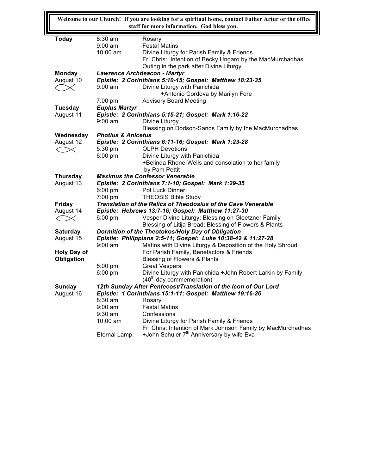**Welcome to our Church! If you are looking for a spiritual home, contact Father Artur or the office staff for more information. God bless you.**

╙

| <b>Today</b>            | $8:30 \text{ am}$                                             | Rosary                                                          |  |  |
|-------------------------|---------------------------------------------------------------|-----------------------------------------------------------------|--|--|
|                         | 9:00 am                                                       | <b>Festal Matins</b>                                            |  |  |
|                         | $10:00$ am                                                    | Divine Liturgy for Parish Family & Friends                      |  |  |
|                         |                                                               | Fr. Chris: Intention of Becky Ungaro by the MacMurchadhas       |  |  |
|                         |                                                               | Outing in the park after Divine Liturgy                         |  |  |
| Monday                  | Lawrence Archdeacon - Martyr                                  |                                                                 |  |  |
| August 10               | Epistle: 2 Corinthians 5:10-15; Gospel: Matthew 18:23-35      |                                                                 |  |  |
|                         | $9:00 \text{ am}$                                             | Divine Liturgy with Panichida                                   |  |  |
|                         |                                                               | +Antonio Cordova by Marilyn Fore                                |  |  |
|                         | 7:00 pm                                                       | <b>Advisory Board Meeting</b>                                   |  |  |
| Tuesday                 | <b>Euplus Martyr</b>                                          |                                                                 |  |  |
| August 11               | Epistle: 2 Corinthians 5:15-21; Gospel: Mark 1:16-22          |                                                                 |  |  |
|                         | $9:00 \text{ am}$                                             | Divine Liturgy                                                  |  |  |
|                         |                                                               | Blessing on Dodson-Sands Family by the MacMurchadhas            |  |  |
| Wednesday               | <b>Photius &amp; Anicetus</b>                                 |                                                                 |  |  |
| August 12               | Epistle: 2 Corinthians 6:11-16; Gospel: Mark 1:23-28          |                                                                 |  |  |
| $\, \tilde{} \, \times$ | 5:30 pm                                                       | <b>OLPH Devotions</b>                                           |  |  |
|                         | $6:00$ pm                                                     | Divine Liturgy with Panichida                                   |  |  |
|                         |                                                               | +Belinda Rhone-Wells and consolation to her family              |  |  |
|                         |                                                               | by Pam Pettit                                                   |  |  |
| <b>Thursday</b>         | <b>Maximus the Confessor Venerable</b>                        |                                                                 |  |  |
| August 13               | Epistle: 2 Corinthians 7:1-10; Gospel: Mark 1:29-35           |                                                                 |  |  |
|                         | $6:00$ pm                                                     | Pot Luck Dinner                                                 |  |  |
|                         | 7:00 pm                                                       | <b>THEOSIS Bible Study</b>                                      |  |  |
| Friday                  | Translation of the Relics of Theodosius of the Cave Venerable |                                                                 |  |  |
| August 14               | Epistle: Hebrews 13:7-16; Gospel: Matthew 11:27-30            |                                                                 |  |  |
| $\,<\,$                 | $6:00$ pm                                                     | Vesper Divine Liturgy; Blessing on Gloetzner Family             |  |  |
|                         |                                                               | Blessing of Litija Bread; Blessing of Flowers & Plants          |  |  |
| <b>Saturday</b>         | Dormition of the Theotokos/Holy Day of Obligation             |                                                                 |  |  |
| August 15               | Epistle: Philippians 2:5-11; Gospel: Luke 10:38-42 & 11:27-28 |                                                                 |  |  |
|                         | $9:00$ am                                                     | Matins with Divine Liturgy & Deposition of the Holy Shroud      |  |  |
| <b>Holy Day of</b>      |                                                               | For Parish Family, Benefactors & Friends                        |  |  |
| Obligation              |                                                               | <b>Blessing of Flowers &amp; Plants</b>                         |  |  |
|                         | 5:00 pm                                                       | <b>Great Vespers</b>                                            |  |  |
|                         | 6:00 pm                                                       | Divine Liturgy with Panichida +John Robert Larkin by Family     |  |  |
|                         |                                                               | (40 <sup>th</sup> day commemoration)                            |  |  |
| <b>Sunday</b>           |                                                               | 12th Sunday After Pentecost/Translation of the Icon of Our Lord |  |  |
| August 16               | Epistle: 1 Corinthians 15:1-11; Gospel: Matthew 19:16-26      |                                                                 |  |  |
|                         | 8:30 am                                                       | Rosary                                                          |  |  |
|                         | $9:00$ am                                                     | <b>Festal Matins</b>                                            |  |  |
|                         | $9:30$ am                                                     | Confessions                                                     |  |  |
|                         | 10:00 am                                                      | Divine Liturgy for Parish Family & Friends                      |  |  |
|                         |                                                               | Fr. Chris: Intention of Mark Johnson Family by MacMurchadhas    |  |  |
|                         | Eternal Lamp:                                                 | +John Schuler 7 <sup>th</sup> Anniversary by wife Eva           |  |  |
|                         |                                                               |                                                                 |  |  |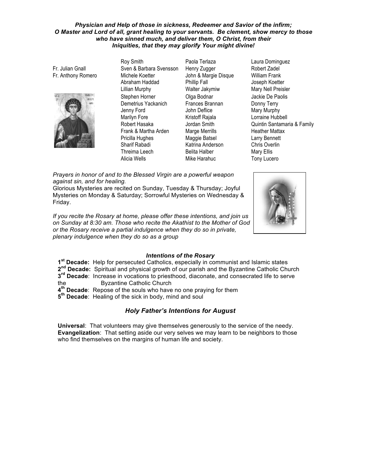#### *Physician and Help of those in sickness, Redeemer and Savior of the infirm;* O Master and Lord of all, grant healing to your servants. Be clement, show mercy to those who have sinned much, and deliver them, O Christ, from their Iniquities, that they may glorify Your might divine!

Fr. Julian Gnall Fr. Anthony Romero



Roy Smith Sven & Barbara Svensson Michele Koetter Abraham Haddad Lillian Murphy Stephen Horner Demetrius Yackanich Jenny Ford Marilyn Fore Robert Hasaka Frank & Martha Arden Pricilla Hughes Sharif Rabadi Threima Leech Alicia Wells **Mike Harahuc** Tony Lucero

Paola Terlaza Henry Zugger John & Margie Disque Phillip Fall Walter Jakymiw Olga Bodnar Frances Brannan John Deflice Kristoff Rajala Jordan Smith Marge Merrills Maggie Batsel Katrina Anderson Belita Halber

Laura Dominguez Robert Zadel William Frank Joseph Koetter Mary Nell Preisler Jackie De Paolis Donny Terry Mary Murphy Lorraine Hubbell Quintin Santamaria & Family Heather Mattax Larry Bennett Chris Overlin Mary Ellis

Prayers in honor of and to the Blessed Virgin are a powerful weapon *against sin, and for healing.* 

Glorious Mysteries are recited on Sunday, Tuesday & Thursday; Joyful Mysteries on Monday & Saturday; Sorrowful Mysteries on Wednesday & Friday.

If you recite the Rosary at home, please offer these intentions, and join us *on Sunday at 8:30 am. Those who recite the Akathist to the Mother of God* or the Rosary receive a partial indulgence when they do so in private, *plenary!indulgence!when!they!do!so!as!a!group*



## **Intentions of the Rosary**

1<sup>st</sup> Decade: Help for persecuted Catholics, especially in communist and Islamic states **2<sup>nd</sup> Decade:** Spiritual and physical growth of our parish and the Byzantine Catholic Church **3<sup>rd</sup> Decade**: Increase in vocations to priesthood, diaconate, and consecrated life to serve

- the **Byzantine Catholic Church**
- **4<sup>th</sup> Decade:** Repose of the souls who have no one praying for them
- $5<sup>th</sup>$  **Decade:** Healing of the sick in body, mind and soul

## **Holy Father's Intentions for August**

**Universal**: That volunteers may give themselves generously to the service of the needy. **Evangelization**: That setting aside our very selves we may learn to be neighbors to those who find themselves on the margins of human life and society.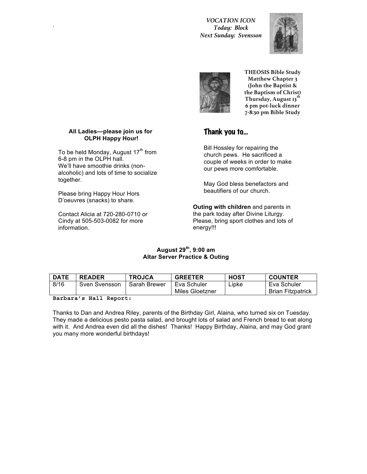## . *VOCATION ICON Today: Block Next Sunday: Svensson*





**THEOSIS Bible Study Matthew Chapter 3 (John the Baptist & the Baptism of Christ) Thursday, August 13th 6 pm pot-luck dinner 7-8:30 pm Bible Study**

## Thank you to…

Bill Hossley for repairing the church pews. He sacrificed a couple of weeks in order to make our pews more comfortable.

May God bless benefactors and beautifiers of our church.

**Outing with children** and parents in the park today after Divine Liturgy. Please, bring sport clothes and lots of energy!!!

## **August&29th,&9:00&am Altar Server Practice & Outing**

| <b>DATE</b> | <b>READER</b> | <b>TROJCA</b> | <b>GREETER</b>  | HOST  | <b>COUNTER</b>           |
|-------------|---------------|---------------|-----------------|-------|--------------------------|
| 8/16        | Sven Svensson | Sarah Brewer  | Eva Schuler     | ∟ipke | Eva Schuler              |
|             |               |               | Miles Gloetzner |       | <b>Brian Fitzpatrick</b> |

## **Barbara's Hall Report:**

Thanks to Dan and Andrea Riley, parents of the Birthday Girl, Alaina, who turned six on Tuesday. They made a delicious pesto pasta salad, and brought lots of salad and French bread to eat along with it. And Andrea even did all the dishes! Thanks! Happy Birthday, Alaina, and may God grant you many more wonderful birthdays!

## All Ladies-please join us for **OLPH Happy Hour!**

To be held Monday, August 17<sup>th</sup> from 6-8 pm in the OLPH hall. We'll have smoothie drinks (nonalcoholic) and lots of time to socialize together.

Please bring Happy Hour Hors D'oeuvres (snacks) to share.

Contact Alicia at 720-280-0710 or Cindy at  $505-503-0082$  for more information.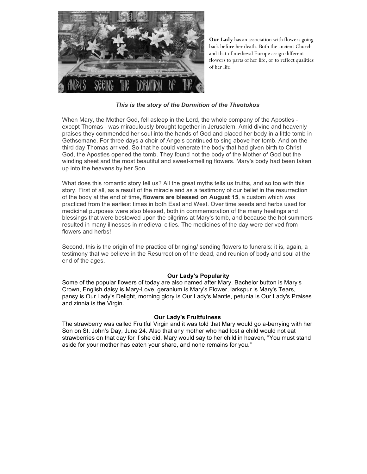

**Our Lady** has an association with flowers going back before her death. Both the ancient Church and that of medieval Europe assign different flowers to parts of her life, or to reflect qualities of her life.

## **This is the story of the Dormition of the Theotokos**

When Mary, the Mother God, fell asleep in the Lord, the whole company of the Apostles except Thomas - was miraculously brought together in Jerusalem. Amid divine and heavenly praises they commended her soul into the hands of God and placed her body in a little tomb in Gethsemane. For three days a choir of Angels continued to sing above her tomb. And on the third day Thomas arrived. So that he could venerate the body that had given birth to Christ God, the Apostles opened the tomb. They found not the body of the Mother of God but the winding sheet and the most beautiful and sweet-smelling flowers. Mary's body had been taken up into the heavens by her Son.

What does this romantic story tell us? All the great myths tells us truths, and so too with this story. First of all, as a result of the miracle and as a testimony of our belief in the resurrection of the body at the end of time, flowers are blessed on August 15, a custom which was practiced from the earliest times in both East and West. Over time seeds and herbs used for medicinal purposes were also blessed, both in commemoration of the many healings and blessings that were bestowed upon the pilgrims at Mary's tomb, and because the hot summers resulted in many illnesses in medieval cities. The medicines of the day were derived from – flowers and herbs!

Second, this is the origin of the practice of bringing/ sending flowers to funerals: it is, again, a testimony that we believe in the Resurrection of the dead, and reunion of body and soul at the end of the ages.

## **Our Lady's Popularity**

Some of the popular flowers of today are also named after Mary. Bachelor button is Mary's Crown, English daisy is Mary-Love, geranium is Mary's Flower, larkspur is Mary's Tears, pansy is Our Lady's Delight, morning glory is Our Lady's Mantle, petunia is Our Lady's Praises and zinnia is the Virgin.

#### **Our Lady's Fruitfulness**

The strawberry was called Fruitful Virgin and it was told that Mary would go a-berrying with her Son on St. John's Day, June 24. Also that any mother who had lost a child would not eat strawberries on that day for if she did, Mary would say to her child in heaven, "You must stand aside for your mother has eaten your share, and none remains for you."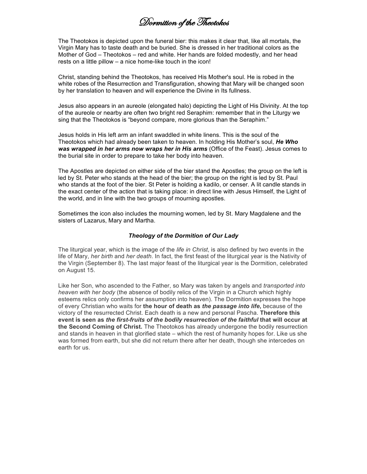Dormition of the Theotokos

The Theotokos is depicted upon the funeral bier: this makes it clear that, like all mortals, the Virgin Mary has to taste death and be buried. She is dressed in her traditional colors as the Mother of God – Theotokos – red and white. Her hands are folded modestly, and her head rests on a little pillow – a nice home-like touch in the icon!

Christ, standing behind the Theotokos, has received His Mother's soul. He is robed in the white robes of the Resurrection and Transfiguration, showing that Mary will be changed soon by her translation to heaven and will experience the Divine in Its fullness.

Jesus also appears in an aureole (elongated halo) depicting the Light of His Divinity. At the top of the aureole or nearby are often two bright red Seraphim: remember that in the Liturgy we sing that the Theotokos is "beyond compare, more glorious than the Seraphim."

Jesus holds in His left arm an infant swaddled in white linens. This is the soul of the Theotokos which had already been taken to heaven. In holding His Mother's soul, He Who was wrapped in her arms now wraps her in His arms (Office of the Feast). Jesus comes to the burial site in order to prepare to take her body into heaven.

The Apostles are depicted on either side of the bier stand the Apostles; the group on the left is led by St. Peter who stands at the head of the bier; the group on the right is led by St. Paul who stands at the foot of the bier. St Peter is holding a kadilo, or censer. A lit candle stands in the exact center of the action that is taking place: in direct line with Jesus Himself, the Light of the world, and in line with the two groups of mourning apostles.

Sometimes the icon also includes the mourning women, led by St. Mary Magdalene and the sisters of Lazarus, Mary and Martha.

#### **Theology of the Dormition of Our Lady**

The liturgical year, which is the image of the *life in Christ*, is also defined by two events in the life of Mary, *her birth* and *her death*. In fact, the first feast of the liturgical year is the Nativity of the Virgin (September 8). The last major feast of the liturgical year is the Dormition, celebrated on August 15.

Like her Son, who ascended to the Father, so Mary was taken by angels and *transported into heaven* with *her body* (the absence of bodily relics of the Virgin in a Church which highly esteems relics only confirms her assumption into heaven). The Dormition expresses the hope of every Christian who waits for the hour of death as *the passage into life*, because of the victory of the resurrected Christ. Each death is a new and personal Pascha. **Therefore this event is seen as the first-fruits of the bodily resurrection of the faithful that will occur at the Second Coming of Christ.** The Theotokos has already undergone the bodily resurrection and stands in heaven in that glorified state – which the rest of humanity hopes for. Like us she was formed from earth, but she did not return there after her death, though she intercedes on earth for us.